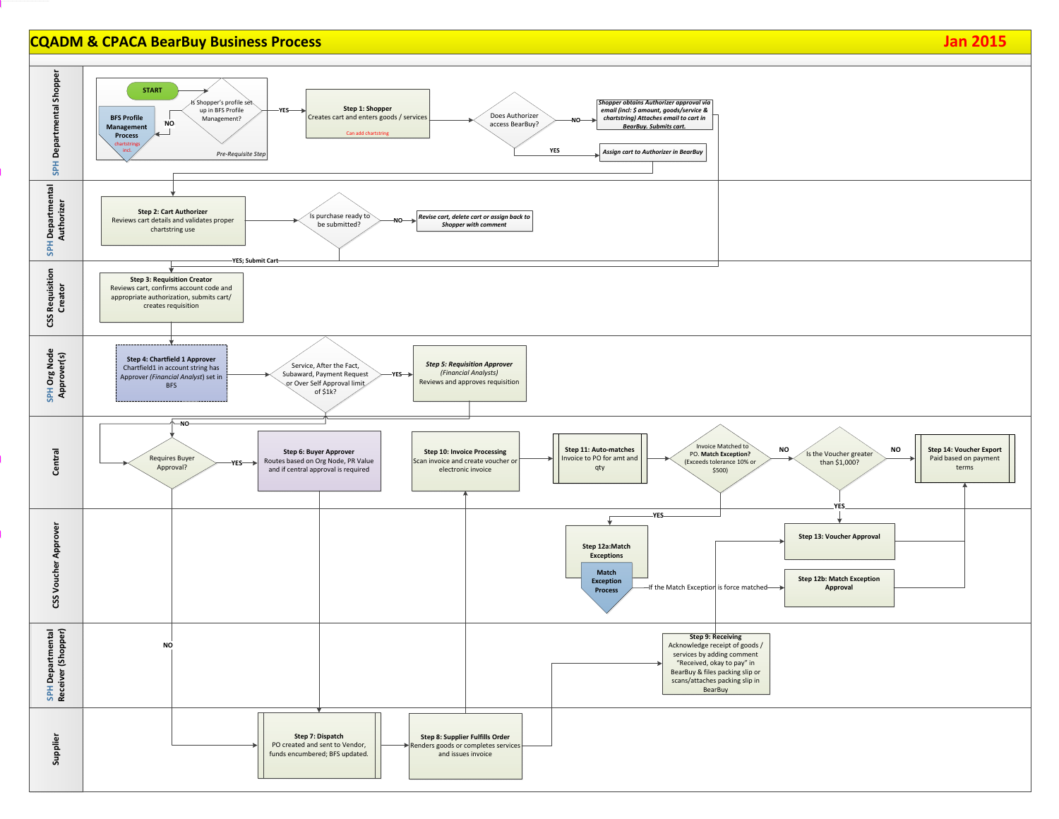### **CQADM & CPACA BearBuy Business Process Jan 2015**



BearBuy & files packing slip or scans/attaches packing slip in **BearBuy** 

# *Shopper obtains Authorizer approval via email (incl: \$ amount, goods/service & chartstring) Attaches email to cart in BearBuy. Submits cart.* **Step 9: Receiving**  Acknowledge receipt of goods / services by adding comment "Received, okay to pay" in Invoice Matched to PO. **Match Exception?** (Exceeds tolerance 10% or \$500) **Step 13: Voucher Approval Step 12a:Match Exceptions Step 14: Voucher Export** Paid based on payment terms **Step 12b: Match Exception Approval YES D** Is the Voucher greater **NO** than \$1,000? **NOMatch Exception Process YES**-If the Match Exception is force matched— *Assign cart to Authorizer in BearBuy*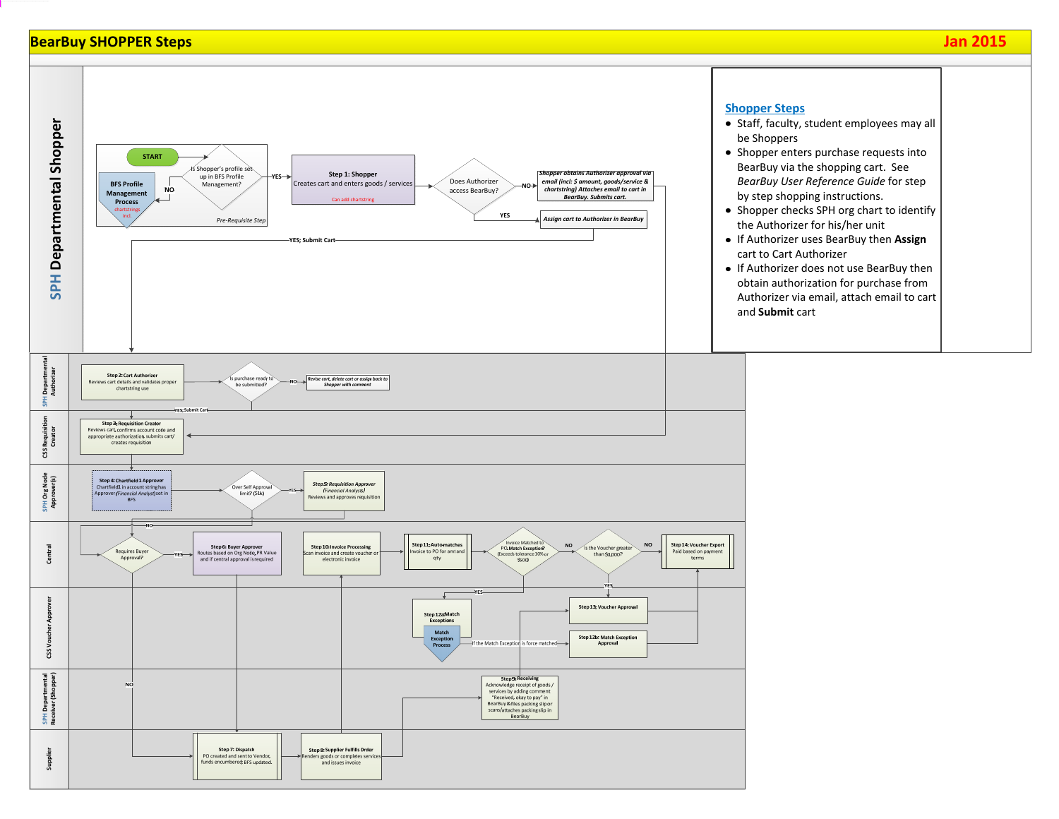### **BearBuy SHOPPER Steps Jan 2015**

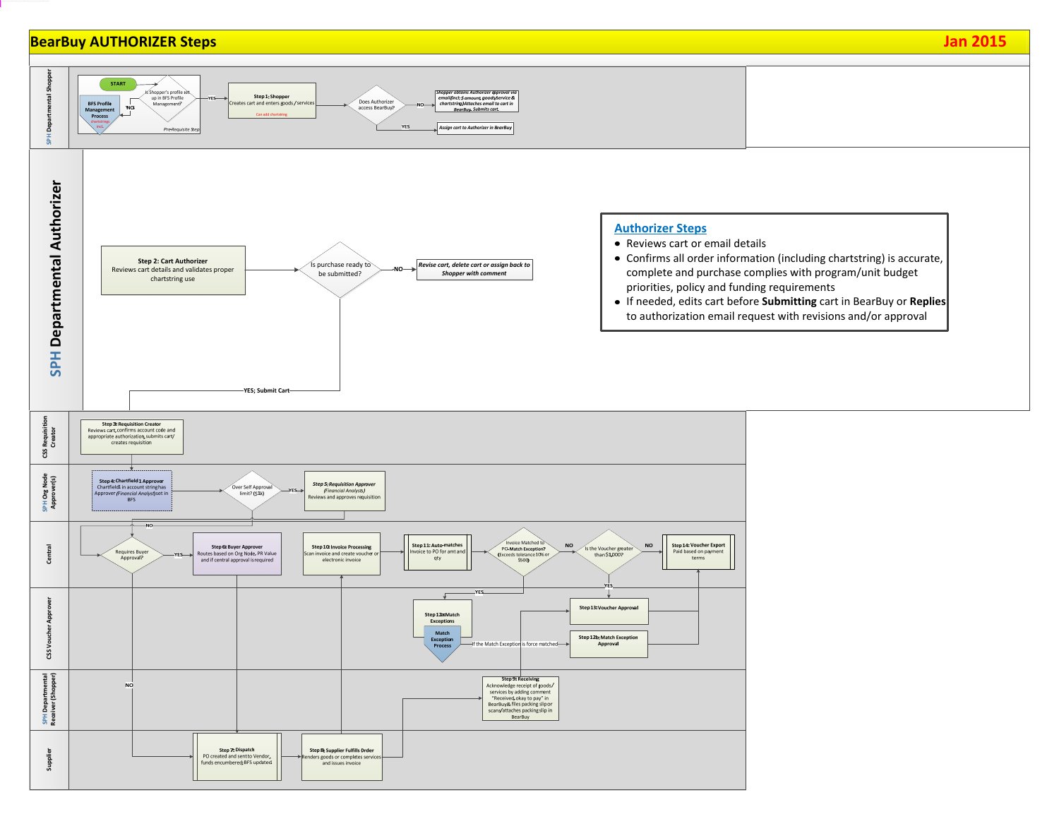# **BearBuy AUTHORIZER Steps Jan 2015**



- Reviews cart or email details
- Confirms all order information (including chartstring) is accurate, complete and purchase complies with program/unit budget priorities, policy and funding requirements
- If needed, edits cart before **Submitting** cart in BearBuy or **Replies** to authorization email request with revisions and/or approval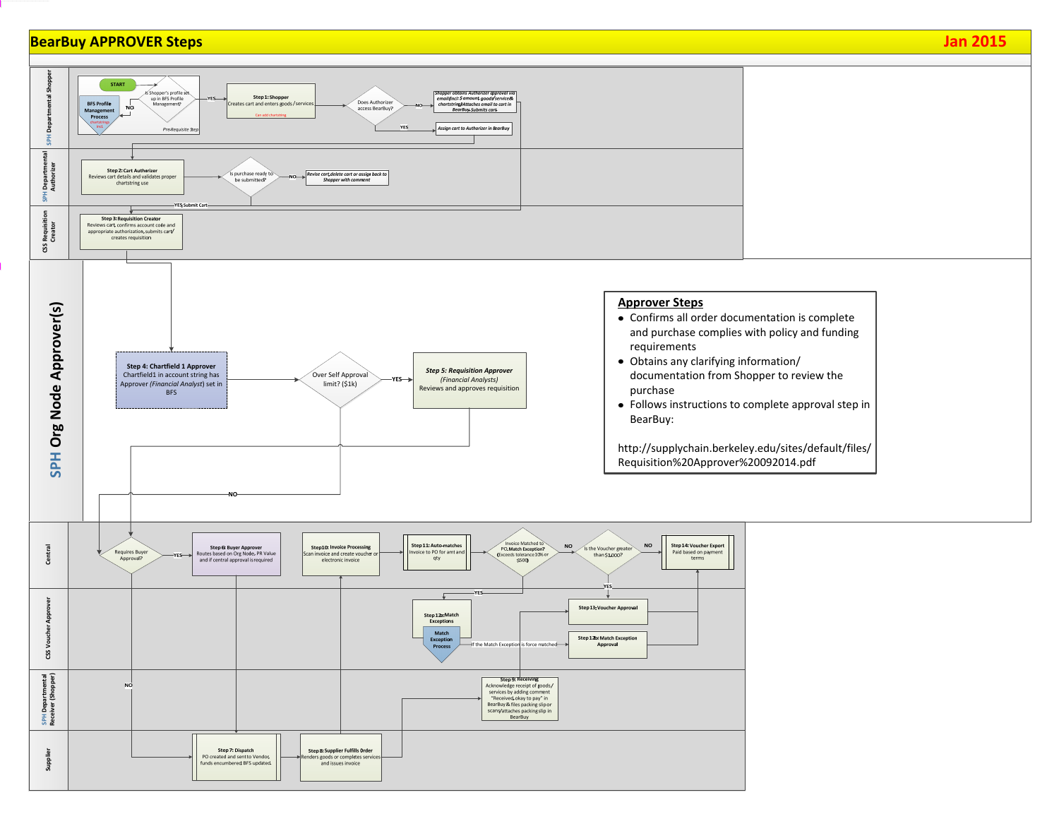## **BearBuy APPROVER Steps Jan 2015**





- Confirms all order documentation is complete and purchase complies with policy and funding
- Obtains any clarifying information/ documentation from Shopper to review the
- Follows instructions to complete approval step in

http://supplychain.berkeley.edu/sites/default/files/ Requisition%20Approver%20092014.pdf